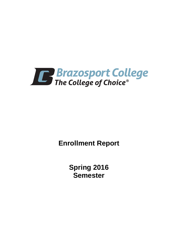

**Enrollment Report**

**Spring 2016 Semester**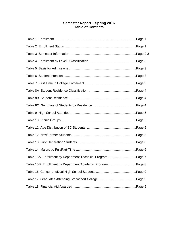# **Semester Report – Spring 2016 Table of Contents**

| Table 15A Enrollment by Department/Technical Program Page 7 |  |
|-------------------------------------------------------------|--|
| Table 15B Enrollment by Department/Academic ProgramPage 8   |  |
|                                                             |  |
|                                                             |  |
|                                                             |  |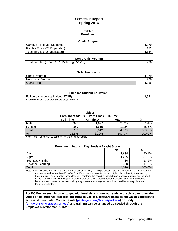# **Semester Report Spring 2016**

### **Table 1 Enrollment**

### **Credit Program**

| Campus – Regular Students            | 4.01 |
|--------------------------------------|------|
| Flexible Entry (78 Duplicated)       | 153  |
| <b>Total Enrolled (Unduplicated)</b> | 54   |

### **Non-Credit Program**

| Total Enrolled (From 12/11/15 through 5/5/16)<br>906 |
|------------------------------------------------------|
|------------------------------------------------------|

### **Total Headcount**

| Credit Program     | 4.VI  |
|--------------------|-------|
| Non-credit Program | 906   |
| <b>Grand Total</b> | 4.985 |

### **Full-time Student Equivalent**

| Full-time student equivalent (FTSE)                 | 2.551 |
|-----------------------------------------------------|-------|
| Found by dividing total credit hours (30,615) by 12 |       |

**Table 2**

| <b>Part-Time / Full-Time</b><br><b>Enrollment Status</b> |                  |            |        |        |  |
|----------------------------------------------------------|------------------|------------|--------|--------|--|
|                                                          | <b>Full-Time</b> | Part-Time* | Total  | %      |  |
| Male                                                     | 398              | 1.697      | 2.095  | 51.4%  |  |
| Female                                                   | 369              | 1,615      | 1,984  | 48.6%  |  |
| Total                                                    | 767              | 3.312      | 4.079  | 100.0% |  |
| %                                                        | 18.8%            | 81.2%      | 100.0% | 100.0% |  |

\*Part-Time – Less than 12 semester hours in fall semester.

| <b>Enrollment Status</b> | Day Student / Night Student |        |
|--------------------------|-----------------------------|--------|
|                          | No.                         | %      |
| Day                      | 1.634                       | 40.1%  |
| Night                    | 1,265                       | 31.0%  |
| Both Day / Night         | 730                         | 17.9%  |
| Distance Learning        | 450                         | 11.0%  |
| Total                    | 4.079                       | 100.0% |

Note: Since distance learning classes are not classified as "Day" or "Night" classes, students enrolled in distance learning classes as well as traditional "day" or "night" classes are classified as day, night or both day/night students by their "majority" enrollment in these classes. Therefore, it is possible that distance learning students are included in the Day, Night and Both Day/Night totals if they are taking these traditional classes along with a distance learning class. However, students taking only distance learning classes will be classified as only distance learning students.

**For BC Employees: In order to get additional data or look at trends in the data over time, the Office of Institutional Research encourages use of a software package known as Zogotech to access student data. Contact Paula [\(paula.gentner@brazosport.edu\)](mailto:paula.gentner@brazosport.edu) or Cindy [\(Cindy.Ullrich@brazosport.edu\)](mailto:Cindy.Ullrich@brazosport.edu) and training can be arranged as needed through the Employee Development Center.**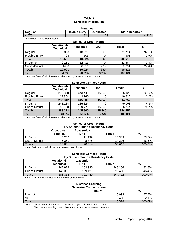# **Table 3 Semester Information**

| <b>Headcount</b> |                       |                   |                        |  |
|------------------|-----------------------|-------------------|------------------------|--|
| Regular          | <b>Flexible Entry</b> | <b>Duplicated</b> | <b>State Reports *</b> |  |
| 4.079            | 153                   | 78                | 4.23 <sub>4</sub>      |  |

\* Includes 78 duplicated counts

# **Semester Credit Hours Vocational-Technical Academic BAT Totals %** Regular | 9,803 | 18,921 | 990 | 29,714 | 97.1% Flexible Entry 798 103 0 901 2.9% Total **10,601 19,024 990 30,615** In-District 9,151 12,413 0 21,564 70.4% Out-of-District 1450 6,611 990 9,051 29.6%<br>
Totals 10,601 19,024 990 30,615 **Totals 10,601 19,024 990 30,615 % 34.6% 62.2% 3.2% 100.0%**

Note: In / Out-of-District status is determined by where a course is taught.

# **Semester Contact Hours**

|                       | <b>Vocational-</b><br><b>Technical</b> | Academic | <b>BAT</b> | <b>Totals</b> | $\frac{0}{0}$ |
|-----------------------|----------------------------------------|----------|------------|---------------|---------------|
| Regular               | 265,808                                | 343,440  | 15,840     | 625,120       | 97.0%         |
| <b>Flexible Entry</b> | 17,504                                 | 2,160    |            | 19,632        | 3.0%          |
| Total                 | 283,312                                | 345,600  | 15,840     | 644,752       |               |
| In-District           | 243,184                                | 235,824  |            | 479,008       | 74.3%         |
| Out-of-District       | 40,128                                 | 109,776  | 15,840     | 165,744       | 25.7%         |
| <b>Totals</b>         | 283,312                                | 345,600  | 15,840     | 644,752       |               |
| %                     | 43.9%                                  | 53.6%    | 2.5%       | 100.0%        |               |

Note: In / Out-of-District status is determined by where a course is taught.

### **Semester Credit Hours By Student Tuition Residency Code**

|                 | <b>Vocational-</b><br>Technical | Academic -<br><b>BAT</b> | Totals | %      |
|-----------------|---------------------------------|--------------------------|--------|--------|
| In-District     | 5,250                           | 11.139                   | 16,389 | 53.5%  |
| Out-of-District | 5,351                           | 8.875                    | 14.226 | 46.5%  |
| Totals          | 10,601                          | 20,014                   | 30,615 | 100.0% |

Note: BAT hours are included in Academic credit hours.

### **Semester Contact Hours By Student Tuition Residency Code**

|                 | Vocational- | Academic - |         |        |
|-----------------|-------------|------------|---------|--------|
|                 | Technical   | BAT        | Totals  | %      |
| In-District     | 142.976     | 202.320    | 345.296 | 53.6%  |
| Out-of-District | 140.336     | 159.120    | 299.456 | 46.4%  |
| Totals          | 283,312     | 361.440    | 644.752 | 100.0% |

Note: BAT hours are included in Academic contact hours.

#### **Distance Learning Semester Contact Hours**

| <u> 8888888888888888888888</u> |              |        |  |  |
|--------------------------------|--------------|--------|--|--|
|                                | <b>Hours</b> | %      |  |  |
| Internet                       | 116,032      | 97.9%  |  |  |
| <b>VCT</b>                     | 2,496        | 2.1%   |  |  |
| Total                          | 118,528      | 100.0% |  |  |

Note: These contact hour totals do not include hybrid / blended course hours.

The distance learning contact hours are included in semester contact hours.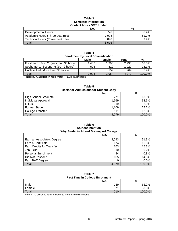## **Table 3 Semester Information Contact hours** *NOT* **funded**

|                                   | No.   | %     |  |  |  |
|-----------------------------------|-------|-------|--|--|--|
| Developmental Hours               | 720   | 8.4%  |  |  |  |
| Academic Hours (Three-peat rule)  | 7,008 | 81.7% |  |  |  |
| Technical Hours (Three-peat rule) | 848   | 9.9%  |  |  |  |
| Total                             | 8.576 |       |  |  |  |

| Table 4                                     |  |
|---------------------------------------------|--|
| <b>Enrollment by Level / Classification</b> |  |
|                                             |  |

|                                                     | <b>Male</b> | Female | Total | %      |
|-----------------------------------------------------|-------------|--------|-------|--------|
| Freshman: First Yr (less than 30 hours)             | 1.487       | 1,306  | 2.793 | 68.5%  |
| Sophomore: Second Yr (30-72 hours)                  | 503         | 519    | 1.022 | 25.1%  |
| Unclassified (More than 72 hours)                   | 105         | 159    | 264   | 6.4%   |
| Total                                               | 2.095       | 1.984  | 4.079 | 100.0% |
| $\mathbf{u}$ . Root we have the set of $\mathbf{u}$ |             |        |       |        |

Note: BC Classification hours match THECB classification.

| <b>Basis for Admissions for Student Body</b> |       |        |  |  |  |
|----------------------------------------------|-------|--------|--|--|--|
| %<br>No.                                     |       |        |  |  |  |
| <b>High School Graduate</b>                  | 771   | 18.9%  |  |  |  |
| Individual Approval                          | 1.569 | 38.5%  |  |  |  |
| G.E.D.                                       | 119   | 2.9%   |  |  |  |
| <b>Former Student</b>                        | 1,109 | 27.2%  |  |  |  |
| College Transfer                             | 511   | 12.5%  |  |  |  |
| Total                                        | 4.079 | 100.0% |  |  |  |

**Table 5 Basis for Admissions for Student Body**

**Table 6 Student Intention Why Students Attend Brazosport College**

|                            | No.   | $\frac{0}{0}$ |  |
|----------------------------|-------|---------------|--|
| Earn an Associate's Degree | 2,093 | 51.3%         |  |
| Earn a Certificate         | 674   | 16.5%         |  |
| Earn Credits for Transfer  | 663   | 16.3%         |  |
| Job Skills                 | 10    | 0.2%          |  |
| <b>Personal Enrichment</b> | 34    | 0.8%          |  |
| Did Not Respond            | 605   | 14.8%         |  |
| Earn BAT Degree            |       | 0.0%          |  |
| Total                      | 4.079 | 100.0%        |  |

| Table 7 |                                         |
|---------|-----------------------------------------|
|         | <b>First Time in College Enrollment</b> |

|        | . .            |        |
|--------|----------------|--------|
|        | No.            | %      |
| Male   | 139            | 66.2%  |
| Female | $\overline{z}$ | 33.8%  |
| Total  | 210            | 100.0% |

Note: FTIC excludes transfer students and dual credit students.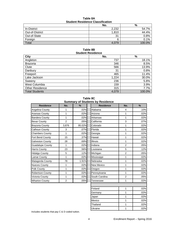| Table 8A                                |  |  |  |
|-----------------------------------------|--|--|--|
| <b>Student Residence Classification</b> |  |  |  |

|                 | No.   | %      |  |  |
|-----------------|-------|--------|--|--|
| In-District     | 2,232 | 54.7%  |  |  |
| Out-of-District | 1,810 | 44.4%  |  |  |
| Out-of-State    | 31    | 0.8%   |  |  |
| Foreign         |       | 0.1%   |  |  |
| Total           | 4,079 | 100.0% |  |  |

**Table 8B Student Residence**

| <b>City</b>            | No.   | $\%$   |  |  |  |
|------------------------|-------|--------|--|--|--|
| Angleton               | 737   | 18.1%  |  |  |  |
| <b>Brazoria</b>        | 346   | 8.5%   |  |  |  |
| Clute                  | 566   | 13.9%  |  |  |  |
| Danbury                | 31    | 0.8%   |  |  |  |
| Freeport               | 465   | 11.4%  |  |  |  |
| Lake Jackson           | 1,224 | 30.0%  |  |  |  |
| Sweeny                 | 236   | 5.8%   |  |  |  |
| West Columbia          | 159   | 3.9%   |  |  |  |
| <b>Other Residence</b> | 315   | 7.7%   |  |  |  |
| <b>Total Students</b>  | 4,079 | 100.0% |  |  |  |

**Table 8C Summary of Students by Residence**

| Summary of Students by Residence |                |        |                   |                |               |  |
|----------------------------------|----------------|--------|-------------------|----------------|---------------|--|
| <b>Residence</b>                 | No.            | $\%$   | <b>Residence</b>  | No.            | $\frac{9}{6}$ |  |
| Angelina County                  | 1              | .02%   | Alabama           | 4              | .10%          |  |
| Aransas County                   | 1              | .02%   | Arizona           | 1              | .02%          |  |
| <b>Bandera County</b>            | 1              | .02%   | Arkansas          | 1              | .02%          |  |
| <b>Bexar County</b>              | 2              | .05%   | California        | 3              | .07%          |  |
| <b>Brazoria County</b>           | 3,876          | 95.02% | Colorado          | 1              | .02%          |  |
| Calhoun County                   | 3              | .07%   | Florida           | 1              | .02%          |  |
| <b>Chambers County</b>           | 1              | .02%   | Georgia           | 1              | .02%          |  |
| Fort Bend County                 | 15             | .37%   | Hawaii            | 1              | .02%          |  |
| <b>Galveston County</b>          | 28             | .69%   | <b>Illinois</b>   | 1              | .02%          |  |
| <b>Guadalupe County</b>          | 1              | .02%   | Indiana           | $\overline{2}$ | .05%          |  |
| Harris County                    | 23             | .56%   | Louisiana         | 5              | .12%          |  |
| <b>Hidalgo County</b>            | 5              | .12%   | Michigan          | 2              | .05%          |  |
| Lamar County                     | 1              | .02%   | Mississippi       | 1              | .02%          |  |
| Matagorda County                 | 78             | 1.91%  | Nebraska          | 1              | .02%          |  |
| <b>Nueces County</b>             | 1              | .02%   | <b>New Mexico</b> | 1              | .02%          |  |
| Polk County                      | 1              | .02%   | Oregon            | 1              | .02%          |  |
| <b>Robertson County</b>          | 1              | .02%   | Pennsylvania      | 1              | .02%          |  |
| Victoria County                  | 1              | .02%   | South Carolina    | 2              | .05%          |  |
| <b>Wharton County</b>            | $\overline{2}$ | .05%   | Tennessee         | 1              | .02%          |  |

|                  | JUILLILUI Y    |        | of other that by incoldence |                |      |
|------------------|----------------|--------|-----------------------------|----------------|------|
| <b>Residence</b> | No.            | $\%$   | <b>Residence</b>            | No.            | $\%$ |
| าa County        | 1              | .02%   | Alabama                     | $\overline{4}$ | .10% |
| <b>is County</b> | $\mathbf{1}$   | .02%   | Arizona                     | 1              | .02% |
| ra County        | 1              | .02%   | Arkansas                    | 1              | .02% |
| County           | $\overline{2}$ | .05%   | California                  | 3              | .07% |
| ia County        | 3,876          | 95.02% | Colorado                    | $\mathbf{1}$   | .02% |
| <b>In County</b> | 3              | .07%   | Florida                     | 1              | .02% |
| ers County       | $\mathbf{1}$   | .02%   | Georgia                     | $\mathbf{1}$   | .02% |
| end County       | 15             | .37%   | Hawaii                      | 1              | .02% |
| ton County       | 28             | .69%   | Illinois                    | 1              | .02% |
| lupe County      | $\mathbf{1}$   | .02%   | Indiana                     | $\overline{2}$ | .05% |
| County           | 23             | .56%   | Louisiana                   | 5              | .12% |
| O County         | 5              | .12%   | Michigan                    | $\overline{2}$ | .05% |
| County           | 1              | .02%   | Mississippi                 | $\mathbf{1}$   | .02% |
| orda County      | 78             | 1.91%  | Nebraska                    | 1              | .02% |
| s County         | $\mathbf{1}$   | .02%   | New Mexico                  | 1              | .02% |
| ounty            | 1              | .02%   | Oregon                      | 1              | .02% |
| son County       | 1              | .02%   | Pennsylvania                | 1              | .02% |
| a County         | $\mathbf{1}$   | .02%   | South Carolina              | $\overline{2}$ | .05% |
| on County        | $\overline{2}$ | .05%   | Tennessee                   | 1              | .02% |
|                  |                |        |                             |                |      |
|                  |                |        | Finland                     | $\mathbf{1}$   | .02% |
|                  |                |        | Germany                     | 1              | .02% |
|                  |                |        | Japan                       | $\mathbf{1}$   | .02% |
|                  |                |        | Mexico                      | 1              | .02% |
|                  |                |        | Thailand                    | 1              | .02% |
|                  |                |        | Ukraine                     | $\mathbf{1}$   | .02% |

Includes students that pay C & D coded tuition.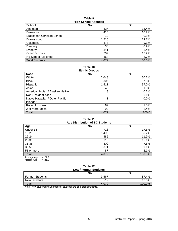### **Table 9 High School Attended**

| <b>THAN DATION WITH THE REAL</b>   |       |        |  |  |  |
|------------------------------------|-------|--------|--|--|--|
| <b>School</b>                      | No.   | $\%$   |  |  |  |
| Angleton                           | 627   | 15.4%  |  |  |  |
| <b>Brazosport</b>                  | 415   | 10.2%  |  |  |  |
| <b>Brazosport Christian School</b> | 19    | 0.5%   |  |  |  |
| Brazoswood                         | 1,210 | 29.7%  |  |  |  |
| Columbia                           | 373   | 9.1%   |  |  |  |
| Danbury                            | 38    | 0.9%   |  |  |  |
| Sweenv                             | 341   | 8.4%   |  |  |  |
| Other Schools                      | 702   | 17.2%  |  |  |  |
| No School Assigned                 | 354   | 8.7%   |  |  |  |
| <b>Total Students</b>              | 4.079 | 100.0% |  |  |  |

#### **Table 10 Ethnic Groups**

| Lunno Oroups                     |       |       |  |  |  |
|----------------------------------|-------|-------|--|--|--|
| Race                             | No.   | %     |  |  |  |
| White                            | 2,048 | 50.2% |  |  |  |
| <b>Black</b>                     | 305   | 7.5%  |  |  |  |
| Hispanic                         | 1,511 | 37.0% |  |  |  |
| Asian                            | 42    | 1.0%  |  |  |  |
| American Indian / Alaskan Native | 8     | 0.2%  |  |  |  |
| Non-Resident Alien               | 3     | 0.1%  |  |  |  |
| Native Hawaiian / Other Pacific  |       | 0.0%  |  |  |  |
| <b>Islander</b>                  |       |       |  |  |  |
| Race Unknown                     | 62    | 1.5%  |  |  |  |
| 2 or more races                  | 99    | 2.4%  |  |  |  |
| Total                            | 4,079 | 100.0 |  |  |  |

# **Table 11**

| Age Distribution of BC Students |       |        |  |  |  |  |
|---------------------------------|-------|--------|--|--|--|--|
| Age                             | No.   | %      |  |  |  |  |
| Under 18                        | 713   | 17.5%  |  |  |  |  |
| $18 - 21$                       | 1,498 | 36.7%  |  |  |  |  |
| 22-24                           | 485   | 11.9%  |  |  |  |  |
| 25-30                           | 616   | 15.1%  |  |  |  |  |
| $31 - 35$                       | 309   | 7.6%   |  |  |  |  |
| 36-50                           | 371   | 9.1%   |  |  |  |  |
| 51 or more                      | 87    | 2.1%   |  |  |  |  |
| Total                           | 4,079 | 100.0% |  |  |  |  |
| $= 24.2$<br>Average Age         |       |        |  |  |  |  |

Median Age = 21.0

# **Table 12**

| <b>New / Former Students</b> |       |           |  |  |
|------------------------------|-------|-----------|--|--|
|                              | No.   | %         |  |  |
| <b>Former Students</b>       | 3.567 | 87.4%     |  |  |
| New Students                 | 512   | 12.6%     |  |  |
| Total                        | 4.079 | $100.0\%$ |  |  |

Note: New students include transfer students and dual credit students.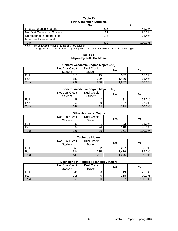## **Table 13 First Generation Students**

|                                 | No. | %      |  |  |  |
|---------------------------------|-----|--------|--|--|--|
| <b>First Generation Student</b> | 215 | 42.0%  |  |  |  |
| Not First Generation Student    | 121 | 23.6%  |  |  |  |
| No response in mother's or      | 176 | 34.4%  |  |  |  |
| father's education level        |     |        |  |  |  |
| Total                           | 512 | 100.0% |  |  |  |

Note: First generation students include only new students.

A first generation student is defined by both parents' education level below a Baccalaureate Degree.

# **Table 14 Majors by Full / Part-Time**

# **General Academic Degree Majors (AA)**

|       | Not Dual Credit<br>Student | <b>Dual Credit</b><br><b>Student</b> | No.   | $\%$   |
|-------|----------------------------|--------------------------------------|-------|--------|
| Full  | 318                        | 19                                   | 337   | 18.6%  |
| Part  | 681                        | 789                                  | 1.470 | 81.4%  |
| Total | 999                        | 808                                  | 1,807 | 100.0% |

# **General Academic Degree Majors (AS)**

|       | Not Dual Credit<br><b>Student</b> | <b>Dual Credit</b><br>Student | No. | %      |
|-------|-----------------------------------|-------------------------------|-----|--------|
| Full  | 89                                |                               | 91  | 32.7%  |
| Part  | 167                               | 20                            | 187 | 67.2%  |
| Total | 256                               | 22                            | 278 | 100.0% |

# **Other Academic Majors**

|       | Not Dual Credit<br>Student | <b>Dual Credit</b><br>Student | No. | %      |
|-------|----------------------------|-------------------------------|-----|--------|
| Full  | 32                         |                               | 33  | 21.9%  |
| Part  | 94                         | 24                            | 118 | 78.1%  |
| Total | 126                        | 25                            | 151 | 100.0% |

# **Technical Majors**

|       | Not Dual Credit<br>Student | <b>Dual Credit</b><br><b>Student</b> | No.   | %      |
|-------|----------------------------|--------------------------------------|-------|--------|
| Full  | 255                        |                                      | 257   | 15.3%  |
| Part  | 1,184                      | 235                                  | 1.419 | 84.7%  |
| Total | 1,439                      | 237                                  | 1,676 | 100.0% |

## **Bachelor's in Applied Technology Majors**

|       | Not Dual Credit<br><b>Student</b> | <b>Dual Credit</b><br>Student | --<br>No. | %      |
|-------|-----------------------------------|-------------------------------|-----------|--------|
| Full  | 49                                |                               | 49        | 29.3%  |
| Part  | 118                               |                               | 118       | 70.7%  |
| Total | 167                               |                               | 167       | 100.0% |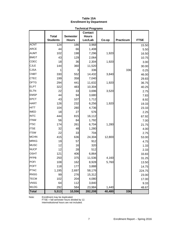# **Table 15A Enrollment by Department**

|              |                 |                 | <b>Technical Programs</b>      |        |                  |             |
|--------------|-----------------|-----------------|--------------------------------|--------|------------------|-------------|
|              | <b>Total</b>    | <b>Semester</b> | <b>Contact</b><br><b>Hours</b> |        |                  |             |
|              | <b>Students</b> | <b>Hours</b>    | Lec/Lab                        | Co-op  | <b>Practicum</b> | <b>FTSE</b> |
| <b>ACNT</b>  | 124             | 186             | 3,968                          |        |                  | 15.50       |
| <b>ARCE</b>  | 44              | 66              | 1,408                          |        |                  | 5.50        |
| <b>AUMT</b>  | 102             | 198             | 7,296                          | 1,920  |                  | 16.50       |
| <b>BMGT</b>  | 43              | 129             | 2,064                          |        |                  | 10.75       |
| CDEC         | 18              | 36              | 2,304                          | 1,920  |                  | 3.00        |
| <b>CJLE</b>  | 144             | 360             | 11,520                         |        |                  | 30.00       |
| <b>CJSA</b>  | 1               | 3               | 336                            |        | 336              | 0.25        |
| <b>CNBT</b>  | 330             | 552             | 14,432                         | 3,840  |                  | 46.00       |
| <b>CTEC</b>  | 199             | 358             | 7,040                          |        |                  | 29.83       |
| <b>DFTG</b>  | 294             | 441             | 11,632                         | 1,920  |                  | 36.75       |
| <b>ELPT</b>  | 322             | 483             | 10,304                         |        |                  | 40.25       |
| <b>ELTN</b>  | 22              | 33              | 3,696                          | 3,520  |                  | 2.75        |
| <b>EMSP</b>  | 44              | 94              | 3,680                          |        |                  | 7.83        |
| <b>EPCT</b>  | 43              | 107             | 1,712                          |        |                  | 8.92        |
| <b>HART</b>  | 126             | 232             | 6,256                          | 1,920  |                  | 19.33       |
| <b>HITT</b>  | 104             | 280             | 4,736                          |        |                  | 23.33       |
| <b>IMED</b>  | 18              | 27              | 576                            |        |                  | 2.25        |
| <b>INTC</b>  | 444             | 815             | 16,112                         |        |                  | 67.92       |
| <b>ITNW</b>  | 56              | 84              | 1,792                          |        |                  | 7.00        |
| <b>ITSC</b>  | 174             | 261             | 6,704                          | 1,280  |                  | 21.75       |
| <b>ITSE</b>  | 32              | 48              | 1,280                          |        |                  | 4.00        |
| <b>ITSW</b>  | 22              | 33              | 704                            |        |                  | 2.75        |
| <b>MCHN</b>  | 415             | 636             | 24,304                         | 12,800 |                  | 53.00       |
| <b>MRKG</b>  | 19              | 57              | 912                            |        |                  | 4.75        |
| <b>MUSC</b>  | 12              | 16              | 320                            |        |                  | 1.33        |
| <b>NUCP</b>  | 12              | 28              | 512                            |        |                  | 2.33        |
| <b>OSHT</b>  | 121             | 406             | 6,864                          |        |                  | 33.83       |
| <b>PFPB</b>  | 250             | 375             | 11,536                         | 4,160  |                  | 31.25       |
| <b>POFI</b>  | 108             | 162             | 8,928                          | 5,760  |                  | 13.50       |
| <b>POFT</b>  | 118             | 177             | 3,888                          |        |                  | 14.75       |
| <b>PTAC</b>  | 1,195           | 2,697           | 58,176                         |        |                  | 224.75      |
| <b>RNSG</b>  | 99              | 276             | 15,312                         |        |                  | 23.00       |
| <b>TECM</b>  | 102             | 204             | 4,080                          |        |                  | 17.00       |
| <b>VNSG</b>  | 64              | 112             | 3,840                          |        |                  | 9.33        |
| <b>WLDG</b>  | 292             | 584             | 23,984                         | 1,440  |                  | 48.67       |
| <b>Total</b> | 5,513           | 10,556          | 282,208                        | 40,480 | 336              |             |

Note: Enrollment may be duplicated.

FTSE = fall semester hours divided by 12. Interinstitutional hours are not included.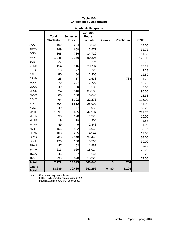# **Table 15B Enrollment by Department**

|                       |                 |                  | <b>Academic Programs</b> |          |                  |             |
|-----------------------|-----------------|------------------|--------------------------|----------|------------------|-------------|
|                       |                 |                  | <b>Contact</b>           |          |                  |             |
|                       | <b>Total</b>    | <b>Semester</b>  | <b>Hours</b>             |          |                  |             |
|                       | <b>Students</b> | <b>Hours</b>     | Lec/Lab                  | Co-op    | <b>Practicum</b> | <b>FTSE</b> |
| <b>ACCT</b>           | 102             | $\overline{204}$ | 3,264                    |          |                  | 17.00       |
| <b>ARTS</b>           | 289             | 669              | 13,872                   |          |                  | 55.75       |
| <b>BCIS</b>           | 368             | 736              | 14,720                   |          |                  | 61.33       |
| <b>BIOL</b>           | 1,046           | 2,136            | 50,208                   |          |                  | 178.00      |
| <b>BUSI</b>           | 27              | 81               | 1,296                    |          |                  | 6.75        |
| <b>CHEM</b>           | 454             | 916              | 20,704                   |          |                  | 76.33       |
| cosc                  | 18              | 27               | 720                      |          |                  | 2.25        |
| <b>CRIJ</b>           | 50              | 150              | 2,400                    |          |                  | 12.50       |
| <b>DRAM</b>           | 28              | 57               | 1,536                    |          | 768              | 4.75        |
| <b>ECON</b>           | 79              | 237              | 3,792                    |          |                  | 19.75       |
| <b>EDUC</b>           | 40              | 60               | 1,280                    |          |                  | 5.00        |
| <b>ENGL</b>           | 824             | 2,346            | 38,560                   |          |                  | 195.50      |
| <b>ENVR</b>           | 80              | 160              | 3,840                    |          |                  | 13.33       |
| GOVT                  | 464             | 1,392            | 22,272                   |          |                  | 116.00      |
| <b>HIST</b>           | 604             | 1,812            | 28,992                   |          |                  | 151.00      |
| <b>HUMA</b>           | 249             | 747              | 11,952                   |          |                  | 62.25       |
| <b>MATH</b>           | 1,091           | 2,685            | 47,904                   |          |                  | 223.75      |
| <b>MHSM</b>           | 36              | 120              | 1,920                    |          |                  | 10.00       |
| <b>MUAP</b>           | 19              | 19               | 304                      |          |                  | 1.58        |
| <b>MUEN</b>           | 49              | 49               | 2,848                    |          |                  | 4.08        |
| <b>MUSI</b>           | 156             | 422              | 6,960                    |          |                  | 35.17       |
| PHYS                  | 103             | 205              | 4,944                    |          |                  | 17.08       |
| PSYC                  | 780             | 2,340            | 37,440                   |          |                  | 195.00      |
| SOCI                  | 120             | 360              | 5,760                    |          |                  | 30.00       |
| <b>SPAN</b>           | 47              | 103              | 1,952                    |          |                  | 8.58        |
| <b>SPCH</b>           | 313             | 939              | 15,024                   |          |                  | 78.25       |
| <b>TECA</b>           | 46              | 87               | 1,664                    |          |                  | 7.25        |
| <b>TMGT</b>           | 290             | 870              | 13,920                   |          |                  | 72.50       |
| <b>Total</b>          | 7,772           | 19,929           | 360,048                  | $\bf{0}$ | 768              |             |
| Grand<br><b>Total</b> | 13,285          | 30,485           | 642,256                  | 40,480   | 1,104            |             |

Note: Enrollment may be duplicated.

FTSE = fall semester hours divided by 12. Interinstitutional hours are not included.